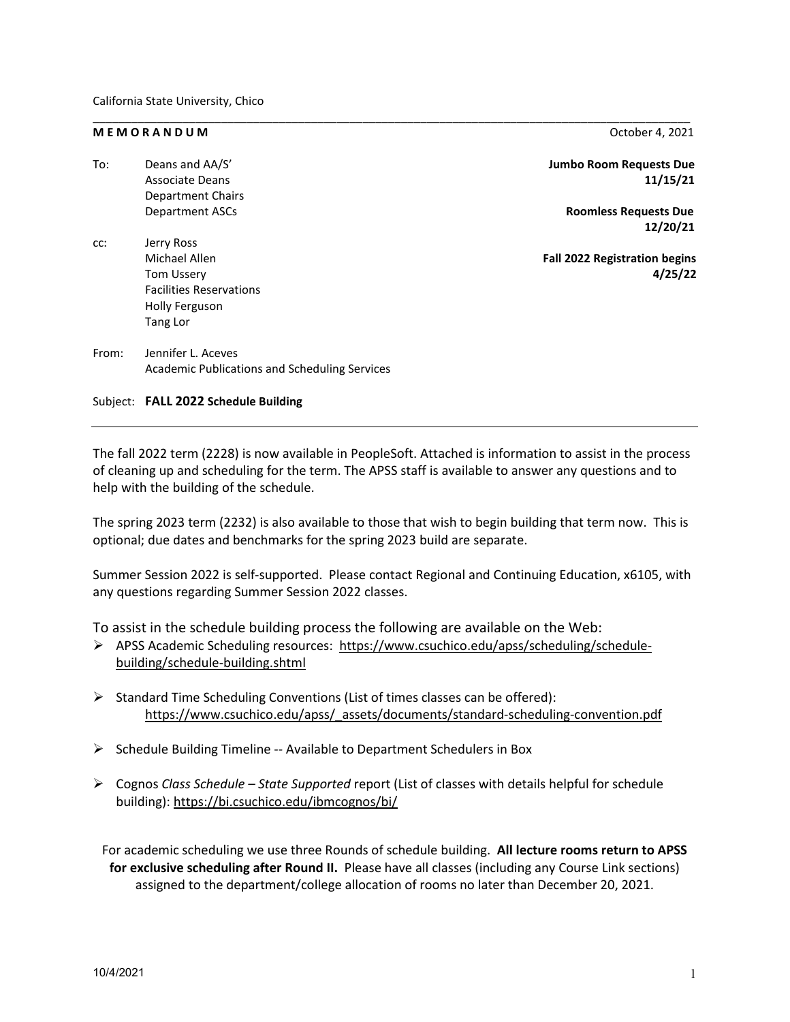## **M E M O R A N D U M** October 4, 2021

| To:   | Deans and AA/S'                               | <b>Jumbo Room Requests Due</b>       |
|-------|-----------------------------------------------|--------------------------------------|
|       | <b>Associate Deans</b>                        | 11/15/21                             |
|       | <b>Department Chairs</b>                      |                                      |
|       | <b>Department ASCs</b>                        | <b>Roomless Requests Due</b>         |
|       |                                               | 12/20/21                             |
| cc:   | Jerry Ross                                    |                                      |
|       | Michael Allen                                 | <b>Fall 2022 Registration begins</b> |
|       | <b>Tom Ussery</b>                             | 4/25/22                              |
|       | <b>Facilities Reservations</b>                |                                      |
|       | Holly Ferguson                                |                                      |
|       | Tang Lor                                      |                                      |
| From: | Jennifer L. Aceves                            |                                      |
|       | Academic Publications and Scheduling Services |                                      |

\_\_\_\_\_\_\_\_\_\_\_\_\_\_\_\_\_\_\_\_\_\_\_\_\_\_\_\_\_\_\_\_\_\_\_\_\_\_\_\_\_\_\_\_\_\_\_\_\_\_\_\_\_\_\_\_\_\_\_\_\_\_\_\_\_\_\_\_\_\_\_\_\_\_\_\_\_\_\_\_\_\_\_\_\_\_\_\_\_\_\_\_\_

Subject: **FALL 2022 Schedule Building**

The fall 2022 term (2228) is now available in PeopleSoft. Attached is information to assist in the process of cleaning up and scheduling for the term. The APSS staff is available to answer any questions and to help with the building of the schedule.

The spring 2023 term (2232) is also available to those that wish to begin building that term now. This is optional; due dates and benchmarks for the spring 2023 build are separate.

Summer Session 2022 is self-supported. Please contact Regional and Continuing Education, x6105, with any questions regarding Summer Session 2022 classes.

To assist in the schedule building process the following are available on the Web:

- APSS Academic Scheduling resources: [https://www.csuchico.edu/apss/scheduling/schedule](https://www.csuchico.edu/apss/scheduling/schedule-building/schedule-building.shtml)[building/schedule-building.shtml](https://www.csuchico.edu/apss/scheduling/schedule-building/schedule-building.shtml)
- $\triangleright$  Standard Time Scheduling Conventions (List of times classes can be offered): [https://www.csuchico.edu/apss/\\_assets/documents/standard-scheduling-convention.pdf](https://www.csuchico.edu/apss/_assets/documents/standard-scheduling-convention.pdf)
- $\triangleright$  Schedule Building Timeline -- Available to Department Schedulers in Box
- Cognos *Class Schedule – State Supported* report (List of classes with details helpful for schedule building)[: https://bi.csuchico.edu/ibmcognos/bi/](https://bi.csuchico.edu/ibmcognos/bi/)

For academic scheduling we use three Rounds of schedule building. **All lecture rooms return to APSS for exclusive scheduling after Round II.** Please have all classes (including any Course Link sections) assigned to the department/college allocation of rooms no later than December 20, 2021.